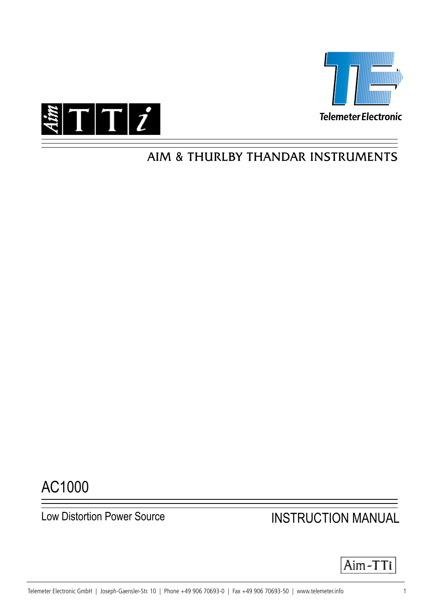



## AIM & THURLBY THANDAR INSTRUMENTS

# AC1000

# Low Distortion Power Source **INSTRUCTION MANUAL**

$$
|Aim\text{-}TTi|
$$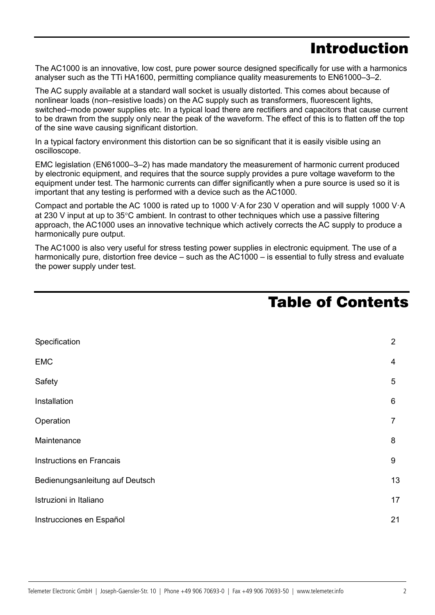## Introduction

The AC1000 is an innovative, low cost, pure power source designed specifically for use with a harmonics analyser such as the TTi HA1600, permitting compliance quality measurements to EN61000–3–2.

The AC supply available at a standard wall socket is usually distorted. This comes about because of nonlinear loads (non–resistive loads) on the AC supply such as transformers, fluorescent lights, switched–mode power supplies etc. In a typical load there are rectifiers and capacitors that cause current to be drawn from the supply only near the peak of the waveform. The effect of this is to flatten off the top of the sine wave causing significant distortion.

In a typical factory environment this distortion can be so significant that it is easily visible using an oscilloscope.

EMC legislation (EN61000–3–2) has made mandatory the measurement of harmonic current produced by electronic equipment, and requires that the source supply provides a pure voltage waveform to the equipment under test. The harmonic currents can differ significantly when a pure source is used so it is important that any testing is performed with a device such as the AC1000.

Compact and portable the AC 1000 is rated up to 1000 V·A for 230 V operation and will supply 1000 V·A at 230 V input at up to 35°C ambient. In contrast to other techniques which use a passive filtering approach, the AC1000 uses an innovative technique which actively corrects the AC supply to produce a harmonically pure output.

The AC1000 is also very useful for stress testing power supplies in electronic equipment. The use of a harmonically pure, distortion free device – such as the AC1000 – is essential to fully stress and evaluate the power supply under test.

## Table of Contents

| Specification                   | $\overline{2}$ |
|---------------------------------|----------------|
| <b>EMC</b>                      | 4              |
| Safety                          | 5              |
| Installation                    | 6              |
| Operation                       | 7              |
| Maintenance                     | 8              |
| Instructions en Francais        |                |
| Bedienungsanleitung auf Deutsch |                |
| Istruzioni in Italiano          |                |
| Instrucciones en Español        |                |

 $\overline{1}$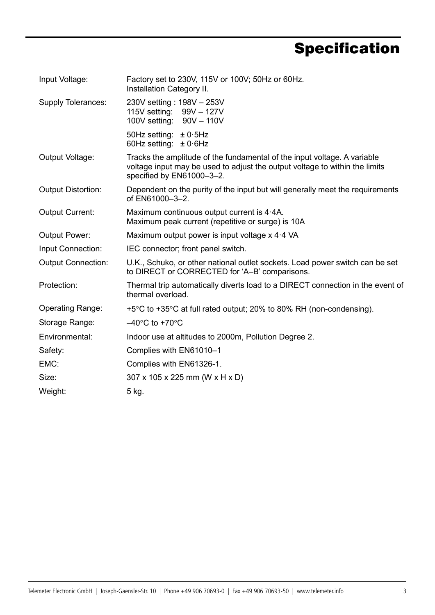# **Specification**

| Input Voltage:            | Factory set to 230V, 115V or 100V; 50Hz or 60Hz.<br>Installation Category II.                                                                                                        |
|---------------------------|--------------------------------------------------------------------------------------------------------------------------------------------------------------------------------------|
| Supply Tolerances:        | 230V setting: 198V - 253V<br>115V setting: 99V - 127V<br>100V setting: 90V - 110V                                                                                                    |
|                           | 50Hz setting: $\pm$ 0.5Hz<br>60Hz setting: $\pm 0.6$ Hz                                                                                                                              |
| Output Voltage:           | Tracks the amplitude of the fundamental of the input voltage. A variable<br>voltage input may be used to adjust the output voltage to within the limits<br>specified by EN61000-3-2. |
| <b>Output Distortion:</b> | Dependent on the purity of the input but will generally meet the requirements<br>of EN61000-3-2.                                                                                     |
| <b>Output Current:</b>    | Maximum continuous output current is 4.4A.<br>Maximum peak current (repetitive or surge) is 10A                                                                                      |
| <b>Output Power:</b>      | Maximum output power is input voltage x 4.4 VA                                                                                                                                       |
| Input Connection:         | IEC connector; front panel switch.                                                                                                                                                   |
| <b>Output Connection:</b> | U.K., Schuko, or other national outlet sockets. Load power switch can be set<br>to DIRECT or CORRECTED for 'A-B' comparisons.                                                        |
| Protection:               | Thermal trip automatically diverts load to a DIRECT connection in the event of<br>thermal overload.                                                                                  |
| <b>Operating Range:</b>   | $+5^{\circ}$ C to $+35^{\circ}$ C at full rated output; 20% to 80% RH (non-condensing).                                                                                              |
| Storage Range:            | $-40^{\circ}$ C to +70 $^{\circ}$ C                                                                                                                                                  |
| Environmental:            | Indoor use at altitudes to 2000m, Pollution Degree 2.                                                                                                                                |
| Safety:                   | Complies with EN61010-1                                                                                                                                                              |
| EMC:                      | Complies with EN61326-1.                                                                                                                                                             |
| Size:                     | 307 x 105 x 225 mm (W x H x D)                                                                                                                                                       |
| Weight:                   | 5 kg.                                                                                                                                                                                |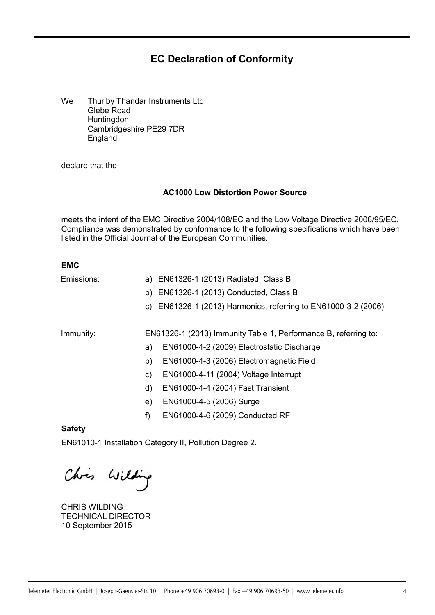## **EC Declaration of Conformity**

We Thurlby Thandar Instruments Ltd Glebe Road **Huntingdon** Cambridgeshire PE29 7DR England

declare that the

#### **AC1000 Low Distortion Power Source**

meets the intent of the EMC Directive 2004/108/EC and the Low Voltage Directive 2006/95/EC. Compliance was demonstrated by conformance to the following specifications which have been listed in the Official Journal of the European Communities.

### **EMC**

| Emissions: | a) EN61326-1 (2013) Radiated, Class B                           |
|------------|-----------------------------------------------------------------|
|            | b) EN61326-1 (2013) Conducted, Class B                          |
|            | c) EN61326-1 (2013) Harmonics, referring to EN61000-3-2 (2006)  |
| Immunity:  | EN61326-1 (2013) Immunity Table 1, Performance B, referring to: |
|            | EN61000-4-2 (2009) Electrostatic Discharge<br>a)                |
|            | EN61000-4-3 (2006) Electromagnetic Field<br>b)                  |
|            | EN61000-4-11 (2004) Voltage Interrupt<br>C)                     |
|            | EN61000-4-4 (2004) Fast Transient<br>d)                         |
|            | EN61000-4-5 (2006) Surge<br>e)                                  |
|            | EN61000-4-6 (2009) Conducted RF<br>f)                           |

**Safety**

EN61010-1 Installation Category II, Pollution Degree 2.

Chris Wilding

CHRIS WILDING TECHNICAL DIRECTOR 10 September 2015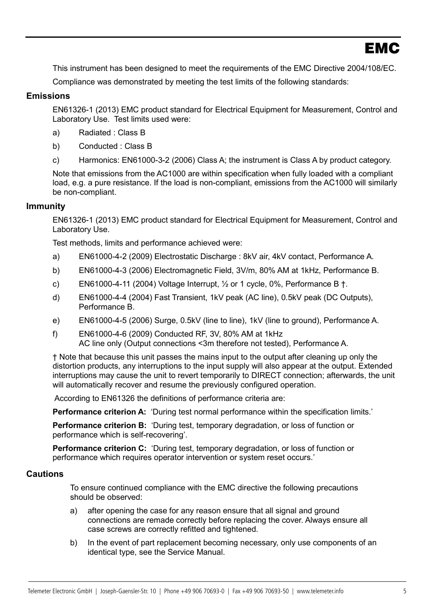This instrument has been designed to meet the requirements of the EMC Directive 2004/108/EC.

Compliance was demonstrated by meeting the test limits of the following standards:

## **Emissions**

EN61326-1 (2013) EMC product standard for Electrical Equipment for Measurement, Control and Laboratory Use. Test limits used were:

- a) Radiated : Class B
- b) Conducted : Class B
- c) Harmonics: EN61000-3-2 (2006) Class A; the instrument is Class A by product category.

Note that emissions from the AC1000 are within specification when fully loaded with a compliant load, e.g. a pure resistance. If the load is non-compliant, emissions from the AC1000 will similarly be non-compliant.

### **Immunity**

EN61326-1 (2013) EMC product standard for Electrical Equipment for Measurement, Control and Laboratory Use.

Test methods, limits and performance achieved were:

- a) EN61000-4-2 (2009) Electrostatic Discharge : 8kV air, 4kV contact, Performance A.
- b) EN61000-4-3 (2006) Electromagnetic Field, 3V/m, 80% AM at 1kHz, Performance B.
- c) EN61000-4-11 (2004) Voltage Interrupt,  $\frac{1}{2}$  or 1 cycle, 0%, Performance B  $\dagger$ .
- d) EN61000-4-4 (2004) Fast Transient, 1kV peak (AC line), 0.5kV peak (DC Outputs), Performance B.
- e) EN61000-4-5 (2006) Surge, 0.5kV (line to line), 1kV (line to ground), Performance A.
- f) EN61000-4-6 (2009) Conducted RF, 3V, 80% AM at 1kHz AC line only (Output connections <3m therefore not tested), Performance A.

† Note that because this unit passes the mains input to the output after cleaning up only the distortion products, any interruptions to the input supply will also appear at the output. Extended interruptions may cause the unit to revert temporarily to DIRECT connection; afterwards, the unit will automatically recover and resume the previously configured operation.

According to EN61326 the definitions of performance criteria are:

**Performance criterion A:** 'During test normal performance within the specification limits.'

**Performance criterion B:** 'During test, temporary degradation, or loss of function or performance which is self-recovering'.

**Performance criterion C:** 'During test, temporary degradation, or loss of function or performance which requires operator intervention or system reset occurs.'

### **Cautions**

4

To ensure continued compliance with the EMC directive the following precautions should be observed:

- a) after opening the case for any reason ensure that all signal and ground connections are remade correctly before replacing the cover. Always ensure all case screws are correctly refitted and tightened.
- b) In the event of part replacement becoming necessary, only use components of an identical type, see the Service Manual.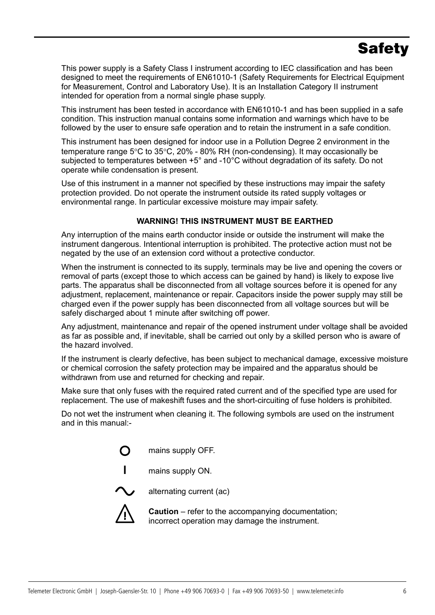# **Safety**

This power supply is a Safety Class I instrument according to IEC classification and has been designed to meet the requirements of EN61010-1 (Safety Requirements for Electrical Equipment for Measurement, Control and Laboratory Use). It is an Installation Category II instrument intended for operation from a normal single phase supply.

This instrument has been tested in accordance with EN61010-1 and has been supplied in a safe condition. This instruction manual contains some information and warnings which have to be followed by the user to ensure safe operation and to retain the instrument in a safe condition.

This instrument has been designed for indoor use in a Pollution Degree 2 environment in the temperature range 5°C to 35°C, 20% - 80% RH (non-condensing). It may occasionally be subjected to temperatures between +5° and -10°C without degradation of its safety. Do not operate while condensation is present.

Use of this instrument in a manner not specified by these instructions may impair the safety protection provided. Do not operate the instrument outside its rated supply voltages or environmental range. In particular excessive moisture may impair safety.

## **WARNING! THIS INSTRUMENT MUST BE EARTHED**

Any interruption of the mains earth conductor inside or outside the instrument will make the instrument dangerous. Intentional interruption is prohibited. The protective action must not be negated by the use of an extension cord without a protective conductor.

When the instrument is connected to its supply, terminals may be live and opening the covers or removal of parts (except those to which access can be gained by hand) is likely to expose live parts. The apparatus shall be disconnected from all voltage sources before it is opened for any adjustment, replacement, maintenance or repair. Capacitors inside the power supply may still be charged even if the power supply has been disconnected from all voltage sources but will be safely discharged about 1 minute after switching off power.

Any adjustment, maintenance and repair of the opened instrument under voltage shall be avoided as far as possible and, if inevitable, shall be carried out only by a skilled person who is aware of the hazard involved.

If the instrument is clearly defective, has been subject to mechanical damage, excessive moisture or chemical corrosion the safety protection may be impaired and the apparatus should be withdrawn from use and returned for checking and repair.

Make sure that only fuses with the required rated current and of the specified type are used for replacement. The use of makeshift fuses and the short-circuiting of fuse holders is prohibited.

Do not wet the instrument when cleaning it. The following symbols are used on the instrument and in this manual:-

> O mains supply OFF.





alternating current (ac)



**Caution** – refer to the accompanying documentation; incorrect operation may damage the instrument.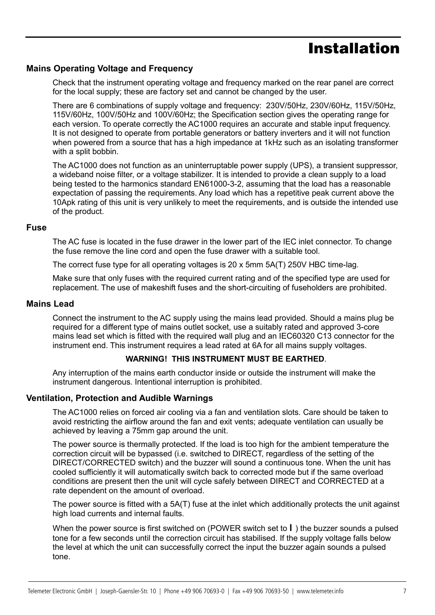## Installation

## **Mains Operating Voltage and Frequency**

Check that the instrument operating voltage and frequency marked on the rear panel are correct for the local supply; these are factory set and cannot be changed by the user.

There are 6 combinations of supply voltage and frequency: 230V/50Hz, 230V/60Hz, 115V/50Hz, 115V/60Hz, 100V/50Hz and 100V/60Hz; the Specification section gives the operating range for each version. To operate correctly the AC1000 requires an accurate and stable input frequency. It is not designed to operate from portable generators or battery inverters and it will not function when powered from a source that has a high impedance at 1kHz such as an isolating transformer with a split bobbin.

The AC1000 does not function as an uninterruptable power supply (UPS), a transient suppressor, a wideband noise filter, or a voltage stabilizer. It is intended to provide a clean supply to a load being tested to the harmonics standard EN61000-3-2, assuming that the load has a reasonable expectation of passing the requirements. Any load which has a repetitive peak current above the 10Apk rating of this unit is very unlikely to meet the requirements, and is outside the intended use of the product.

#### **Fuse**

The AC fuse is located in the fuse drawer in the lower part of the IEC inlet connector. To change the fuse remove the line cord and open the fuse drawer with a suitable tool.

The correct fuse type for all operating voltages is 20 x 5mm 5A(T) 250V HBC time-lag.

Make sure that only fuses with the required current rating and of the specified type are used for replacement. The use of makeshift fuses and the short-circuiting of fuseholders are prohibited.

#### **Mains Lead**

6

Connect the instrument to the AC supply using the mains lead provided. Should a mains plug be required for a different type of mains outlet socket, use a suitably rated and approved 3-core mains lead set which is fitted with the required wall plug and an IEC60320 C13 connector for the instrument end. This instrument requires a lead rated at 6A for all mains supply voltages.

### **WARNING! THIS INSTRUMENT MUST BE EARTHED**.

Any interruption of the mains earth conductor inside or outside the instrument will make the instrument dangerous. Intentional interruption is prohibited.

### **Ventilation, Protection and Audible Warnings**

The AC1000 relies on forced air cooling via a fan and ventilation slots. Care should be taken to avoid restricting the airflow around the fan and exit vents; adequate ventilation can usually be achieved by leaving a 75mm gap around the unit.

The power source is thermally protected. If the load is too high for the ambient temperature the correction circuit will be bypassed (i.e. switched to DIRECT, regardless of the setting of the DIRECT/CORRECTED switch) and the buzzer will sound a continuous tone. When the unit has cooled sufficiently it will automatically switch back to corrected mode but if the same overload conditions are present then the unit will cycle safely between DIRECT and CORRECTED at a rate dependent on the amount of overload.

The power source is fitted with a 5A(T) fuse at the inlet which additionally protects the unit against high load currents and internal faults.

When the power source is first switched on (POWER switch set to **l** ) the buzzer sounds a pulsed tone for a few seconds until the correction circuit has stabilised. If the supply voltage falls below the level at which the unit can successfully correct the input the buzzer again sounds a pulsed tone.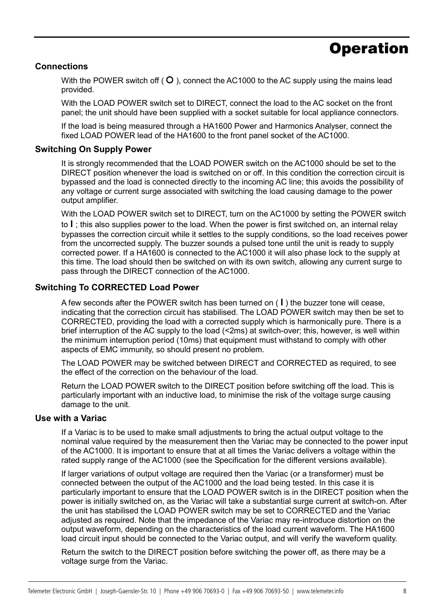# **Operation**

### **Connections**

With the POWER switch off  $($   $\bigcirc$   $)$ , connect the AC1000 to the AC supply using the mains lead provided.

With the LOAD POWER switch set to DIRECT, connect the load to the AC socket on the front panel; the unit should have been supplied with a socket suitable for local appliance connectors.

If the load is being measured through a HA1600 Power and Harmonics Analyser, connect the fixed LOAD POWER lead of the HA1600 to the front panel socket of the AC1000.

### **Switching On Supply Power**

It is strongly recommended that the LOAD POWER switch on the AC1000 should be set to the DIRECT position whenever the load is switched on or off. In this condition the correction circuit is bypassed and the load is connected directly to the incoming AC line; this avoids the possibility of any voltage or current surge associated with switching the load causing damage to the power output amplifier.

With the LOAD POWER switch set to DIRECT, turn on the AC1000 by setting the POWER switch to **l** ; this also supplies power to the load. When the power is first switched on, an internal relay bypasses the correction circuit while it settles to the supply conditions, so the load receives power from the uncorrected supply. The buzzer sounds a pulsed tone until the unit is ready to supply corrected power. If a HA1600 is connected to the AC1000 it will also phase lock to the supply at this time. The load should then be switched on with its own switch, allowing any current surge to pass through the DIRECT connection of the AC1000.

## **Switching To CORRECTED Load Power**

A few seconds after the POWER switch has been turned on ( **l** ) the buzzer tone will cease, indicating that the correction circuit has stabilised. The LOAD POWER switch may then be set to CORRECTED, providing the load with a corrected supply which is harmonically pure. There is a brief interruption of the AC supply to the load (<2ms) at switch-over; this, however, is well within the minimum interruption period (10ms) that equipment must withstand to comply with other aspects of EMC immunity, so should present no problem.

The LOAD POWER may be switched between DIRECT and CORRECTED as required, to see the effect of the correction on the behaviour of the load.

Return the LOAD POWER switch to the DIRECT position before switching off the load. This is particularly important with an inductive load, to minimise the risk of the voltage surge causing damage to the unit.

#### **Use with a Variac**

If a Variac is to be used to make small adjustments to bring the actual output voltage to the nominal value required by the measurement then the Variac may be connected to the power input of the AC1000. It is important to ensure that at all times the Variac delivers a voltage within the rated supply range of the AC1000 (see the Specification for the different versions available).

If larger variations of output voltage are required then the Variac (or a transformer) must be connected between the output of the AC1000 and the load being tested. In this case it is particularly important to ensure that the LOAD POWER switch is in the DIRECT position when the power is initially switched on, as the Variac will take a substantial surge current at switch-on. After the unit has stabilised the LOAD POWER switch may be set to CORRECTED and the Variac adjusted as required. Note that the impedance of the Variac may re-introduce distortion on the output waveform, depending on the characteristics of the load current waveform. The HA1600 load circuit input should be connected to the Variac output, and will verify the waveform quality.

Return the switch to the DIRECT position before switching the power off, as there may be a voltage surge from the Variac.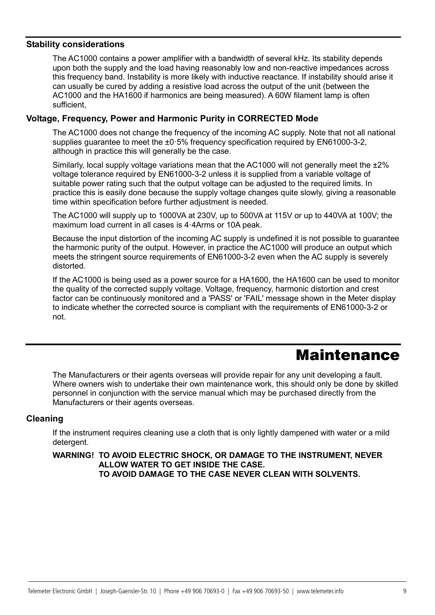### **Stability considerations**

The AC1000 contains a power amplifier with a bandwidth of several kHz. Its stability depends upon both the supply and the load having reasonably low and non-reactive impedances across this frequency band. Instability is more likely with inductive reactance. If instability should arise it can usually be cured by adding a resistive load across the output of the unit (between the AC1000 and the HA1600 if harmonics are being measured). A 60W filament lamp is often sufficient,

## **Voltage, Frequency, Power and Harmonic Purity in CORRECTED Mode**

The AC1000 does not change the frequency of the incoming AC supply. Note that not all national supplies guarantee to meet the ±0.5% frequency specification required by EN61000-3-2, although in practice this will generally be the case.

Similarly, local supply voltage variations mean that the AC1000 will not generally meet the  $\pm 2\%$ voltage tolerance required by EN61000-3-2 unless it is supplied from a variable voltage of suitable power rating such that the output voltage can be adjusted to the required limits. In practice this is easily done because the supply voltage changes quite slowly, giving a reasonable time within specification before further adjustment is needed.

The AC1000 will supply up to 1000VA at 230V, up to 500VA at 115V or up to 440VA at 100V; the maximum load current in all cases is 4·4Arms or 10A peak.

Because the input distortion of the incoming AC supply is undefined it is not possible to guarantee the harmonic purity of the output. However, in practice the AC1000 will produce an output which meets the stringent source requirements of EN61000-3-2 even when the AC supply is severely distorted.

If the AC1000 is being used as a power source for a HA1600, the HA1600 can be used to monitor the quality of the corrected supply voltage. Voltage, frequency, harmonic distortion and crest factor can be continuously monitored and a 'PASS' or 'FAIL' message shown in the Meter display to indicate whether the corrected source is compliant with the requirements of EN61000-3-2 or not.

# **Maintenance**

The Manufacturers or their agents overseas will provide repair for any unit developing a fault. Where owners wish to undertake their own maintenance work, this should only be done by skilled personnel in conjunction with the service manual which may be purchased directly from the Manufacturers or their agents overseas.

### **Cleaning**

8

If the instrument requires cleaning use a cloth that is only lightly dampened with water or a mild detergent.

### **WARNING! TO AVOID ELECTRIC SHOCK, OR DAMAGE TO THE INSTRUMENT, NEVER ALLOW WATER TO GET INSIDE THE CASE. TO AVOID DAMAGE TO THE CASE NEVER CLEAN WITH SOLVENTS.**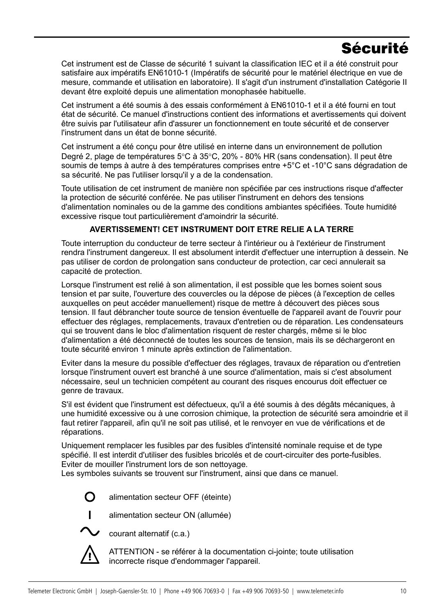# Sécurité

Cet instrument est de Classe de sécurité 1 suivant la classification IEC et il a été construit pour satisfaire aux impératifs EN61010-1 (Impératifs de sécurité pour le matériel électrique en vue de mesure, commande et utilisation en laboratoire). Il s'agit d'un instrument d'installation Catégorie II devant être exploité depuis une alimentation monophasée habituelle.

Cet instrument a été soumis à des essais conformément à EN61010-1 et il a été fourni en tout état de sécurité. Ce manuel d'instructions contient des informations et avertissements qui doivent être suivis par l'utilisateur afin d'assurer un fonctionnement en toute sécurité et de conserver l'instrument dans un état de bonne sécurité.

Cet instrument a été conçu pour être utilisé en interne dans un environnement de pollution Degré 2, plage de températures 5°C à 35°C, 20% - 80% HR (sans condensation). Il peut être soumis de temps à autre à des températures comprises entre +5°C et -10°C sans dégradation de sa sécurité. Ne pas l'utiliser lorsqu'il y a de la condensation.

Toute utilisation de cet instrument de manière non spécifiée par ces instructions risque d'affecter la protection de sécurité conférée. Ne pas utiliser l'instrument en dehors des tensions d'alimentation nominales ou de la gamme des conditions ambiantes spécifiées. Toute humidité excessive risque tout particulièrement d'amoindrir la sécurité.

## **AVERTISSEMENT! CET INSTRUMENT DOIT ETRE RELIE A LA TERRE**

Toute interruption du conducteur de terre secteur à l'intérieur ou à l'extérieur de l'instrument rendra l'instrument dangereux. Il est absolument interdit d'effectuer une interruption à dessein. Ne pas utiliser de cordon de prolongation sans conducteur de protection, car ceci annulerait sa capacité de protection.

Lorsque l'instrument est relié à son alimentation, il est possible que les bornes soient sous tension et par suite, l'ouverture des couvercles ou la dépose de pièces (à l'exception de celles auxquelles on peut accéder manuellement) risque de mettre à découvert des pièces sous tension. Il faut débrancher toute source de tension éventuelle de l'appareil avant de l'ouvrir pour effectuer des réglages, remplacements, travaux d'entretien ou de réparation. Les condensateurs qui se trouvent dans le bloc d'alimentation risquent de rester chargés, même si le bloc d'alimentation a été déconnecté de toutes les sources de tension, mais ils se déchargeront en toute sécurité environ 1 minute après extinction de l'alimentation.

Eviter dans la mesure du possible d'effectuer des réglages, travaux de réparation ou d'entretien lorsque l'instrument ouvert est branché à une source d'alimentation, mais si c'est absolument nécessaire, seul un technicien compétent au courant des risques encourus doit effectuer ce genre de travaux.

S'il est évident que l'instrument est défectueux, qu'il a été soumis à des dégâts mécaniques, à une humidité excessive ou à une corrosion chimique, la protection de sécurité sera amoindrie et il faut retirer l'appareil, afin qu'il ne soit pas utilisé, et le renvoyer en vue de vérifications et de réparations.

Uniquement remplacer les fusibles par des fusibles d'intensité nominale requise et de type spécifié. Il est interdit d'utiliser des fusibles bricolés et de court-circuiter des porte-fusibles. Eviter de mouiller l'instrument lors de son nettoyage.

Les symboles suivants se trouvent sur l'instrument, ainsi que dans ce manuel.

 $\Omega$ 

alimentation secteur OFF (éteinte)



**l** alimentation secteur ON (allumée)

courant alternatif (c.a.)

ATTENTION - se référer à la documentation ci-jointe; toute utilisation incorrecte risque d'endommager l'appareil.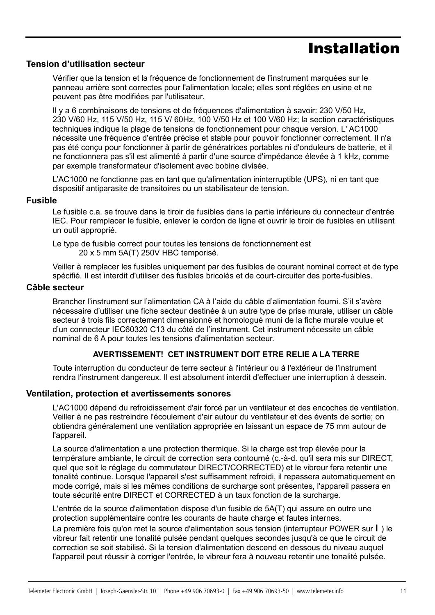## Installation

#### **Tension d'utilisation secteur**

Vérifier que la tension et la fréquence de fonctionnement de l'instrument marquées sur le panneau arrière sont correctes pour l'alimentation locale; elles sont réglées en usine et ne peuvent pas être modifiées par l'utilisateur.

Il y a 6 combinaisons de tensions et de fréquences d'alimentation à savoir: 230 V/50 Hz, 230 V/60 Hz, 115 V/50 Hz, 115 V/ 60Hz, 100 V/50 Hz et 100 V/60 Hz; la section caractéristiques techniques indique la plage de tensions de fonctionnement pour chaque version. L' AC1000 nécessite une fréquence d'entrée précise et stable pour pouvoir fonctionner correctement. Il n'a pas été conçu pour fonctionner à partir de génératrices portables ni d'onduleurs de batterie, et il ne fonctionnera pas s'il est alimenté à partir d'une source d'impédance élevée à 1 kHz, comme par exemple transformateur d'isolement avec bobine divisée.

L'AC1000 ne fonctionne pas en tant que qu'alimentation ininterruptible (UPS), ni en tant que dispositif antiparasite de transitoires ou un stabilisateur de tension.

#### **Fusible**

Le fusible c.a. se trouve dans le tiroir de fusibles dans la partie inférieure du connecteur d'entrée IEC. Pour remplacer le fusible, enlever le cordon de ligne et ouvrir le tiroir de fusibles en utilisant un outil approprié.

Le type de fusible correct pour toutes les tensions de fonctionnement est 20 x 5 mm 5A(T) 250V HBC temporisé.

Veiller à remplacer les fusibles uniquement par des fusibles de courant nominal correct et de type spécifié. Il est interdit d'utiliser des fusibles bricolés et de court-circuiter des porte-fusibles.

#### **Câble secteur**

1<br>10 |<br>10 |

Brancher l'instrument sur l'alimentation CA à l'aide du câble d'alimentation fourni. S'il s'avère nécessaire d'utiliser une fiche secteur destinée à un autre type de prise murale, utiliser un câble secteur à trois fils correctement dimensionné et homologué muni de la fiche murale voulue et d'un connecteur IEC60320 C13 du côté de l'instrument. Cet instrument nécessite un câble nominal de 6 A pour toutes les tensions d'alimentation secteur.

### **AVERTISSEMENT! CET INSTRUMENT DOIT ETRE RELIE A LA TERRE**

Toute interruption du conducteur de terre secteur à l'intérieur ou à l'extérieur de l'instrument rendra l'instrument dangereux. Il est absolument interdit d'effectuer une interruption à dessein.

#### **Ventilation, protection et avertissements sonores**

L'AC1000 dépend du refroidissement d'air forcé par un ventilateur et des encoches de ventilation. Veiller à ne pas restreindre l'écoulement d'air autour du ventilateur et des évents de sortie; on obtiendra généralement une ventilation appropriée en laissant un espace de 75 mm autour de l'appareil.

La source d'alimentation a une protection thermique. Si la charge est trop élevée pour la température ambiante, le circuit de correction sera contourné (c.-à-d. qu'il sera mis sur DIRECT, quel que soit le réglage du commutateur DIRECT/CORRECTED) et le vibreur fera retentir une tonalité continue. Lorsque l'appareil s'est suffisamment refroidi, il repassera automatiquement en mode corrigé, mais si les mêmes conditions de surcharge sont présentes, l'appareil passera en toute sécurité entre DIRECT et CORRECTED à un taux fonction de la surcharge.

L'entrée de la source d'alimentation dispose d'un fusible de 5A(T) qui assure en outre une protection supplémentaire contre les courants de haute charge et fautes internes.

La première fois qu'on met la source d'alimentation sous tension (interrupteur POWER sur **l** ) le vibreur fait retentir une tonalité pulsée pendant quelques secondes jusqu'à ce que le circuit de correction se soit stabilisé. Si la tension d'alimentation descend en dessous du niveau auquel l'appareil peut réussir à corriger l'entrée, le vibreur fera à nouveau retentir une tonalité pulsée.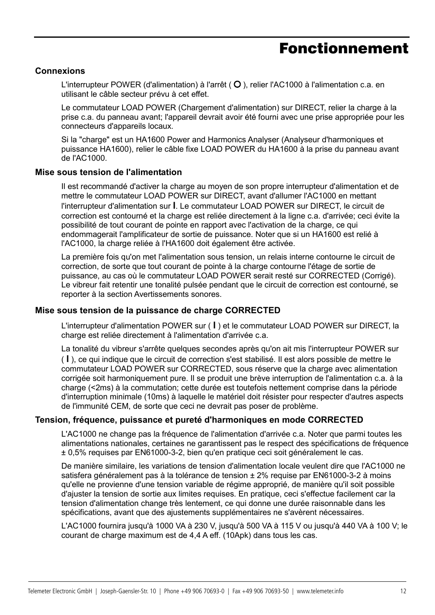## Fonctionnement

## **Connexions**

L'interrupteur POWER (d'alimentation) à l'arrêt ( $\circ$ ), relier l'AC1000 à l'alimentation c.a. en utilisant le câble secteur prévu à cet effet.

Le commutateur LOAD POWER (Chargement d'alimentation) sur DIRECT, relier la charge à la prise c.a. du panneau avant; l'appareil devrait avoir été fourni avec une prise appropriée pour les connecteurs d'appareils locaux.

Si la "charge" est un HA1600 Power and Harmonics Analyser (Analyseur d'harmoniques et puissance HA1600), relier le câble fixe LOAD POWER du HA1600 à la prise du panneau avant de l'AC1000.

## **Mise sous tension de l'alimentation**

Il est recommandé d'activer la charge au moyen de son propre interrupteur d'alimentation et de mettre le commutateur LOAD POWER sur DIRECT, avant d'allumer l'AC1000 en mettant l'interrupteur d'alimentation sur **l**. Le commutateur LOAD POWER sur DIRECT, le circuit de correction est contourné et la charge est reliée directement à la ligne c.a. d'arrivée; ceci évite la possibilité de tout courant de pointe en rapport avec l'activation de la charge, ce qui endommagerait l'amplificateur de sortie de puissance. Noter que si un HA1600 est relié à l'AC1000, la charge reliée à l'HA1600 doit également être activée.

La première fois qu'on met l'alimentation sous tension, un relais interne contourne le circuit de correction, de sorte que tout courant de pointe à la charge contourne l'étage de sortie de puissance, au cas où le commutateur LOAD POWER serait resté sur CORRECTED (Corrigé). Le vibreur fait retentir une tonalité pulsée pendant que le circuit de correction est contourné, se reporter à la section Avertissements sonores.

#### **Mise sous tension de la puissance de charge CORRECTED**

L'interrupteur d'alimentation POWER sur ( **l** ) et le commutateur LOAD POWER sur DIRECT, la charge est reliée directement à l'alimentation d'arrivée c.a.

La tonalité du vibreur s'arrête quelques secondes après qu'on ait mis l'interrupteur POWER sur ( **l** ), ce qui indique que le circuit de correction s'est stabilisé. Il est alors possible de mettre le commutateur LOAD POWER sur CORRECTED, sous réserve que la charge avec alimentation corrigée soit harmoniquement pure. Il se produit une brève interruption de l'alimentation c.a. à la charge (<2ms) à la commutation; cette durée est toutefois nettement comprise dans la période d'interruption minimale (10ms) à laquelle le matériel doit résister pour respecter d'autres aspects de l'immunité CEM, de sorte que ceci ne devrait pas poser de problème.

## **Tension, fréquence, puissance et pureté d'harmoniques en mode CORRECTED**

L'AC1000 ne change pas la fréquence de l'alimentation d'arrivée c.a. Noter que parmi toutes les alimentations nationales, certaines ne garantissent pas le respect des spécifications de fréquence ± 0,5% requises par EN61000-3-2, bien qu'en pratique ceci soit généralement le cas.

De manière similaire, les variations de tension d'alimentation locale veulent dire que l'AC1000 ne satisfera généralement pas à la tolérance de tension ± 2% requise par EN61000-3-2 à moins qu'elle ne provienne d'une tension variable de régime approprié, de manière qu'il soit possible d'ajuster la tension de sortie aux limites requises. En pratique, ceci s'effectue facilement car la tension d'alimentation change très lentement, ce qui donne une durée raisonnable dans les spécifications, avant que des ajustements supplémentaires ne s'avèrent nécessaires.

L'AC1000 fournira jusqu'à 1000 VA à 230 V, jusqu'à 500 VA à 115 V ou jusqu'à 440 VA à 100 V; le courant de charge maximum est de 4,4 A eff. (10Apk) dans tous les cas.

11<br>111 - Johannes<br>111 - Johannes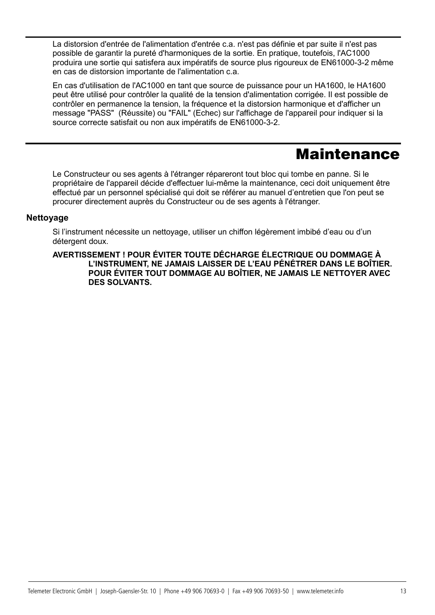La distorsion d'entrée de l'alimentation d'entrée c.a. n'est pas définie et par suite il n'est pas possible de garantir la pureté d'harmoniques de la sortie. En pratique, toutefois, l'AC1000 produira une sortie qui satisfera aux impératifs de source plus rigoureux de EN61000-3-2 même en cas de distorsion importante de l'alimentation c.a.

En cas d'utilisation de l'AC1000 en tant que source de puissance pour un HA1600, le HA1600 peut être utilisé pour contrôler la qualité de la tension d'alimentation corrigée. Il est possible de contrôler en permanence la tension, la fréquence et la distorsion harmonique et d'afficher un message "PASS" (Réussite) ou "FAIL" (Echec) sur l'affichage de l'appareil pour indiquer si la source correcte satisfait ou non aux impératifs de EN61000-3-2.

## Maintenance

Le Constructeur ou ses agents à l'étranger répareront tout bloc qui tombe en panne. Si le propriétaire de l'appareil décide d'effectuer lui-même la maintenance, ceci doit uniquement être effectué par un personnel spécialisé qui doit se référer au manuel d'entretien que l'on peut se procurer directement auprès du Constructeur ou de ses agents à l'étranger.

## **Nettoyage**

12<br>12 March 12<br>12 March 12

Si l'instrument nécessite un nettoyage, utiliser un chiffon légèrement imbibé d'eau ou d'un détergent doux.

**AVERTISSEMENT ! POUR ÉVITER TOUTE DÉCHARGE ÉLECTRIQUE OU DOMMAGE À L'INSTRUMENT, NE JAMAIS LAISSER DE L'EAU PÉNÉTRER DANS LE BOÎTIER. POUR ÉVITER TOUT DOMMAGE AU BOÎTIER, NE JAMAIS LE NETTOYER AVEC DES SOLVANTS.**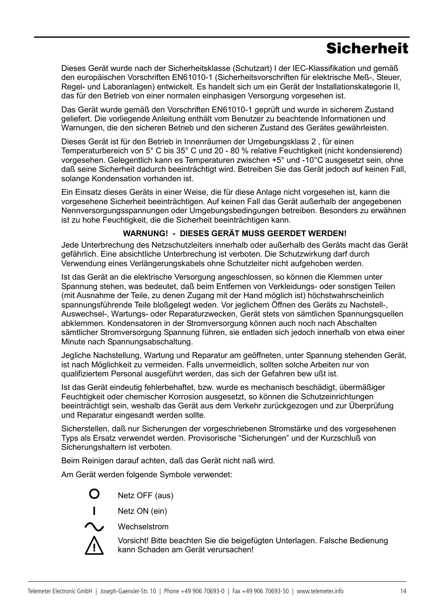# **Sicherheit**

Dieses Gerät wurde nach der Sicherheitsklasse (Schutzart) I der IEC-Klassifikation und gemäß den europäischen Vorschriften EN61010-1 (Sicherheitsvorschriften für elektrische Meß-, Steuer, Regel- und Laboranlagen) entwickelt. Es handelt sich um ein Gerät der Installationskategorie II, das für den Betrieb von einer normalen einphasigen Versorgung vorgesehen ist.

Das Gerät wurde gemäß den Vorschriften EN61010-1 geprüft und wurde in sicherem Zustand geliefert. Die vorliegende Anleitung enthält vom Benutzer zu beachtende Informationen und Warnungen, die den sicheren Betrieb und den sicheren Zustand des Gerätes gewährleisten.

Dieses Gerät ist für den Betrieb in Innenräumen der Umgebungsklass 2 , für einen Temperaturbereich von 5° C bis 35° C und 20 - 80 % relative Feuchtigkeit (nicht kondensierend) vorgesehen. Gelegentlich kann es Temperaturen zwischen +5° und -10°C ausgesetzt sein, ohne daß seine Sicherheit dadurch beeinträchtigt wird. Betreiben Sie das Gerät jedoch auf keinen Fall, solange Kondensation vorhanden ist.

Ein Einsatz dieses Geräts in einer Weise, die für diese Anlage nicht vorgesehen ist, kann die vorgesehene Sicherheit beeinträchtigen. Auf keinen Fall das Gerät außerhalb der angegebenen Nennversorgungsspannungen oder Umgebungsbedingungen betreiben. Besonders zu erwähnen ist zu hohe Feuchtigkeit, die die Sicherheit beeinträchtigen kann.

## **WARNUNG! - DIESES GERÄT MUSS GEERDET WERDEN!**

Jede Unterbrechung des Netzschutzleiters innerhalb oder außerhalb des Geräts macht das Gerät gefährlich. Eine absichtliche Unterbrechung ist verboten. Die Schutzwirkung darf durch Verwendung eines Verlängerungskabels ohne Schutzleiter nicht aufgehoben werden.

Ist das Gerät an die elektrische Versorgung angeschlossen, so können die Klemmen unter Spannung stehen, was bedeutet, daß beim Entfernen von Verkleidungs- oder sonstigen Teilen (mit Ausnahme der Teile, zu denen Zugang mit der Hand möglich ist) höchstwahrscheinlich spannungsführende Teile bloßgelegt weden. Vor jeglichem Öffnen des Geräts zu Nachstell-, Auswechsel-, Wartungs- oder Reparaturzwecken, Gerät stets von sämtlichen Spannungsquellen abklemmen. Kondensatoren in der Stromversorgung können auch noch nach Abschalten sämtlicher Stromversorgung Spannung führen, sie entladen sich jedoch innerhalb von etwa einer Minute nach Spannungsabschaltung.

Jegliche Nachstellung, Wartung und Reparatur am geöffneten, unter Spannung stehenden Gerät, ist nach Möglichkeit zu vermeiden. Falls unvermeidlich, sollten solche Arbeiten nur von qualifiziertem Personal ausgeführt werden, das sich der Gefahren bew ußt ist.

Ist das Gerät eindeutig fehlerbehaftet, bzw. wurde es mechanisch beschädigt, übermäßiger Feuchtigkeit oder chemischer Korrosion ausgesetzt, so können die Schutzeinrichtungen beeinträchtigt sein, weshalb das Gerät aus dem Verkehr zurückgezogen und zur Überprüfung und Reparatur eingesandt werden sollte.

Sicherstellen, daß nur Sicherungen der vorgeschriebenen Stromstärke und des vorgesehenen Typs als Ersatz verwendet werden. Provisorische "Sicherungen" und der Kurzschluß von Sicherungshaltern ist verboten.

Beim Reinigen darauf achten, daß das Gerät nicht naß wird.

Am Gerät werden folgende Symbole verwendet:

Netz OFF (aus)

**l** Netz ON (ein)



Wechselstrom

Vorsicht! Bitte beachten Sie die beigefügten Unterlagen. Falsche Bedienung kann Schaden am Gerät verursachen!

13<br>13 |<br>13 |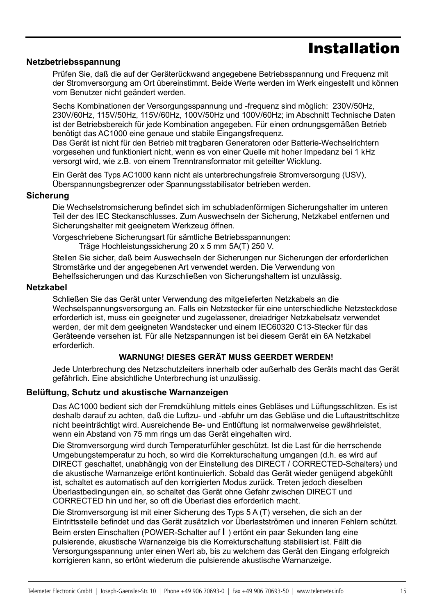## Installation

## **Netzbetriebsspannung**

Prüfen Sie, daß die auf der Geräterückwand angegebene Betriebsspannung und Frequenz mit der Stromversorgung am Ort übereinstimmt. Beide Werte werden im Werk eingestellt und können vom Benutzer nicht geändert werden.

Sechs Kombinationen der Versorgungsspannung und -frequenz sind möglich: 230V/50Hz, 230V/60Hz, 115V/50Hz, 115V/60Hz, 100V/50Hz und 100V/60Hz; im Abschnitt Technische Daten ist der Betriebsbereich für jede Kombination angegeben. Für einen ordnungsgemäßen Betrieb benötigt das AC1000 eine genaue und stabile Eingangsfrequenz.

Das Gerät ist nicht für den Betrieb mit tragbaren Generatoren oder Batterie-Wechselrichtern vorgesehen und funktioniert nicht, wenn es von einer Quelle mit hoher Impedanz bei 1 kHz versorgt wird, wie z.B. von einem Trenntransformator mit geteilter Wicklung.

Ein Gerät des Typs AC1000 kann nicht als unterbrechungsfreie Stromversorgung (USV), Überspannungsbegrenzer oder Spannungsstabilisator betrieben werden.

## **Sicherung**

Die Wechselstromsicherung befindet sich im schubladenförmigen Sicherungshalter im unteren Teil der des IEC Steckanschlusses. Zum Auswechseln der Sicherung, Netzkabel entfernen und Sicherungshalter mit geeignetem Werkzeug öffnen.

Vorgeschriebene Sicherungsart für sämtliche Betriebsspannungen:

Träge Hochleistungssicherung 20 x 5 mm 5A(T) 250 V.

Stellen Sie sicher, daß beim Auswechseln der Sicherungen nur Sicherungen der erforderlichen Stromstärke und der angegebenen Art verwendet werden. Die Verwendung von Behelfssicherungen und das Kurzschließen von Sicherungshaltern ist unzulässig.

### **Netzkabel**

14<br>14<br>14 March

Schließen Sie das Gerät unter Verwendung des mitgelieferten Netzkabels an die Wechselspannungsversorgung an. Falls ein Netzstecker für eine unterschiedliche Netzsteckdose erforderlich ist, muss ein geeigneter und zugelassener, dreiadriger Netzkabelsatz verwendet werden, der mit dem geeigneten Wandstecker und einem IEC60320 C13-Stecker für das Geräteende versehen ist. Für alle Netzspannungen ist bei diesem Gerät ein 6A Netzkabel erforderlich.

## **WARNUNG! DIESES GERÄT MUSS GEERDET WERDEN!**

Jede Unterbrechung des Netzschutzleiters innerhalb oder außerhalb des Geräts macht das Gerät gefährlich. Eine absichtliche Unterbrechung ist unzulässig.

## **Belüftung, Schutz und akustische Warnanzeigen**

Das AC1000 bedient sich der Fremdkühlung mittels eines Gebläses und Lüftungsschlitzen. Es ist deshalb darauf zu achten, daß die Luftzu- und -abfuhr um das Gebläse und die Luftaustrittschlitze nicht beeinträchtigt wird. Ausreichende Be- und Entlüftung ist normalwerweise gewährleistet, wenn ein Abstand von 75 mm rings um das Gerät eingehalten wird.

Die Stromversorgung wird durch Temperaturfühler geschützt. Ist die Last für die herrschende Umgebungstemperatur zu hoch, so wird die Korrekturschaltung umgangen (d.h. es wird auf DIRECT geschaltet, unabhängig von der Einstellung des DIRECT / CORRECTED-Schalters) und die akustische Warnanzeige ertönt kontinuierlich. Sobald das Gerät wieder genügend abgekühlt ist, schaltet es automatisch auf den korrigierten Modus zurück. Treten jedoch dieselben Überlastbedingungen ein, so schaltet das Gerät ohne Gefahr zwischen DIRECT und CORRECTED hin und her, so oft die Überlast dies erforderlich macht.

Die Stromversorgung ist mit einer Sicherung des Typs 5 A (T) versehen, die sich an der Eintrittsstelle befindet und das Gerät zusätzlich vor Überlastströmen und inneren Fehlern schützt. Beim ersten Einschalten (POWER-Schalter auf **l** ) ertönt ein paar Sekunden lang eine pulsierende, akustische Warnanzeige bis die Korrekturschaltung stabilisiert ist. Fällt die Versorgungsspannung unter einen Wert ab, bis zu welchem das Gerät den Eingang erfolgreich korrigieren kann, so ertönt wiederum die pulsierende akustische Warnanzeige.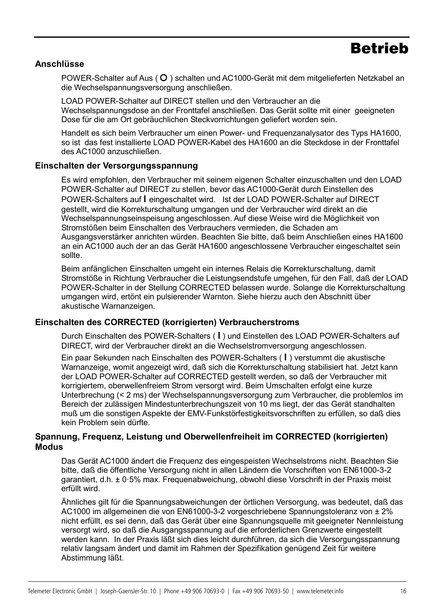## **Betrieb**

### **Anschlüsse**

POWER-Schalter auf Aus ( $\overline{O}$ ) schalten und AC1000-Gerät mit dem mitgelieferten Netzkabel an die Wechselspannungsversorgung anschließen.

LOAD POWER-Schalter auf DIRECT stellen und den Verbraucher an die Wechselspannungsdose an der Fronttafel anschließen. Das Gerät sollte mit einer geeigneten Dose für die am Ort gebräuchlichen Steckvorrichtungen geliefert worden sein.

Handelt es sich beim Verbraucher um einen Power- und Frequenzanalysator des Typs HA1600, so ist das fest installierte LOAD POWER-Kabel des HA1600 an die Steckdose in der Fronttafel des AC1000 anzuschließen.

## **Einschalten der Versorgungsspannung**

Es wird empfohlen, den Verbraucher mit seinem eigenen Schalter einzuschalten und den LOAD POWER-Schalter auf DIRECT zu stellen, bevor das AC1000-Gerät durch Einstellen des POWER-Schalters auf **l** eingeschaltet wird. Ist der LOAD POWER-Schalter auf DIRECT gestellt, wird die Korrekturschaltung umgangen und der Verbraucher wird direkt an die Wechselspannungseinspeisung angeschlossen. Auf diese Weise wird die Möglichkeit von Stromstößen beim Einschalten des Verbrauchers vermieden, die Schaden am Ausgangsverstärker anrichten würden. Beachten Sie bitte, daß beim Anschließen eines HA1600 an ein AC1000 auch der an das Gerät HA1600 angeschlossene Verbraucher eingeschaltet sein sollte.

Beim anfänglichen Einschalten umgeht ein internes Relais die Korrekturschaltung, damit Stromstöße in Richtung Verbraucher die Leistungsendstufe umgehen, für den Fall, daß der LOAD POWER-Schalter in der Stellung CORRECTED belassen wurde. Solange die Korrekturschaltung umgangen wird, ertönt ein pulsierender Warnton. Siehe hierzu auch den Abschnitt über akustische Warnanzeigen.

## **Einschalten des CORRECTED (korrigierten) Verbraucherstroms**

Durch Einschalten des POWER-Schalters ( **l** ) und Einstellen des LOAD POWER-Schalters auf DIRECT, wird der Verbraucher direkt an die Wechselstromversorgung angeschlossen.

Ein paar Sekunden nach Einschalten des POWER-Schalters ( **l** ) verstummt die akustische Warnanzeige, womit angezeigt wird, daß sich die Korrekturschaltung stabilisiert hat. Jetzt kann der LOAD POWER-Schalter auf CORRECTED gestellt werden, so daß der Verbraucher mit korrigiertem, oberwellenfreiem Strom versorgt wird. Beim Umschalten erfolgt eine kurze Unterbrechung (< 2 ms) der Wechselspannungsversorgung zum Verbraucher, die problemlos im Bereich der zulässigen Mindestunterbrechungszeit von 10 ms liegt, der das Gerät standhalten muß um die sonstigen Aspekte der EMV-Funkstörfestigkeitsvorschriften zu erfüllen, so daß dies kein Problem sein dürfte.

## **Spannung, Frequenz, Leistung und Oberwellenfreiheit im CORRECTED (korrigierten) Modus**

Das Gerät AC1000 ändert die Frequenz des eingespeisten Wechselstroms nicht. Beachten Sie bitte, daß die öffentliche Versorgung nicht in allen Ländern die Vorschriften von EN61000-3-2 garantiert, d.h. ± 0·5% max. Frequenabweichung, obwohl diese Vorschrift in der Praxis meist erfüllt wird.

Ähnliches gilt für die Spannungsabweichungen der örtlichen Versorgung, was bedeutet, daß das AC1000 im allgemeinen die von EN61000-3-2 vorgeschriebene Spannungstoleranz von ± 2% nicht erfüllt, es sei denn, daß das Gerät über eine Spannungsquelle mit geeigneter Nennleistung versorgt wird, so daß die Ausgangsspannung auf die erforderlichen Grenzwerte eingestellt werden kann. In der Praxis läßt sich dies leicht durchführen, da sich die Versorgungsspannung relativ langsam ändert und damit im Rahmen der Spezifikation genügend Zeit für weitere Abstimmung läßt.

15<br>15 |<br>15 |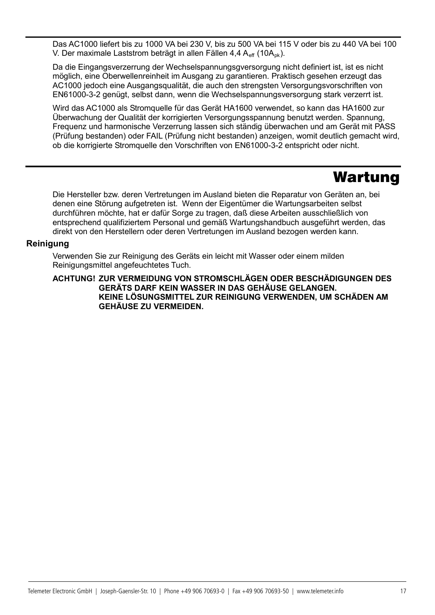Das AC1000 liefert bis zu 1000 VA bei 230 V, bis zu 500 VA bei 115 V oder bis zu 440 VA bei 100 V. Der maximale Laststrom beträgt in allen Fällen 4,4 A<sub>eff</sub> (10A<sub>pk</sub>).

Da die Eingangsverzerrung der Wechselspannungsgversorgung nicht definiert ist, ist es nicht möglich, eine Oberwellenreinheit im Ausgang zu garantieren. Praktisch gesehen erzeugt das AC1000 jedoch eine Ausgangsqualität, die auch den strengsten Versorgungsvorschriften von EN61000-3-2 genügt, selbst dann, wenn die Wechselspannungsversorgung stark verzerrt ist.

Wird das AC1000 als Stromquelle für das Gerät HA1600 verwendet, so kann das HA1600 zur Überwachung der Qualität der korrigierten Versorgungsspannung benutzt werden. Spannung, Frequenz und harmonische Verzerrung lassen sich ständig überwachen und am Gerät mit PASS (Prüfung bestanden) oder FAIL (Prüfung nicht bestanden) anzeigen, womit deutlich gemacht wird, ob die korrigierte Stromquelle den Vorschriften von EN61000-3-2 entspricht oder nicht.

## Wartung

Die Hersteller bzw. deren Vertretungen im Ausland bieten die Reparatur von Geräten an, bei denen eine Störung aufgetreten ist. Wenn der Eigentümer die Wartungsarbeiten selbst durchführen möchte, hat er dafür Sorge zu tragen, daß diese Arbeiten ausschließlich von entsprechend qualifiziertem Personal und gemäß Wartungshandbuch ausgeführt werden, das direkt von den Herstellern oder deren Vertretungen im Ausland bezogen werden kann.

## **Reinigung**

16

Verwenden Sie zur Reinigung des Geräts ein leicht mit Wasser oder einem milden Reinigungsmittel angefeuchtetes Tuch.

#### **ACHTUNG! ZUR VERMEIDUNG VON STROMSCHLÄGEN ODER BESCHÄDIGUNGEN DES GERÄTS DARF KEIN WASSER IN DAS GEHÄUSE GELANGEN. KEINE LÖSUNGSMITTEL ZUR REINIGUNG VERWENDEN, UM SCHÄDEN AM GEHÄUSE ZU VERMEIDEN.**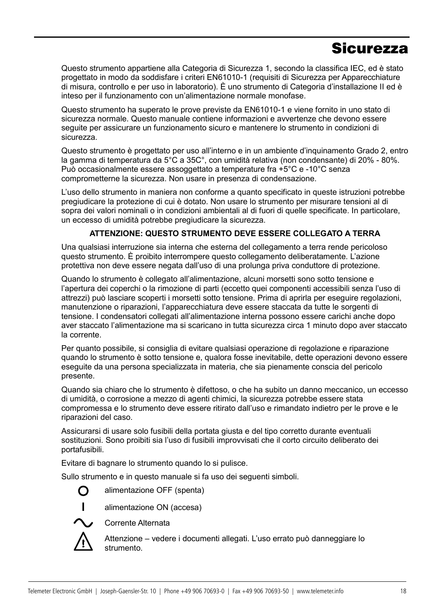## **Sicurezza**

Questo strumento appartiene alla Categoria di Sicurezza 1, secondo la classifica IEC, ed è stato progettato in modo da soddisfare i criteri EN61010-1 (requisiti di Sicurezza per Apparecchiature di misura, controllo e per uso in laboratorio). È uno strumento di Categoria d'installazione II ed è inteso per il funzionamento con un'alimentazione normale monofase.

Questo strumento ha superato le prove previste da EN61010-1 e viene fornito in uno stato di sicurezza normale. Questo manuale contiene informazioni e avvertenze che devono essere seguite per assicurare un funzionamento sicuro e mantenere lo strumento in condizioni di sicurezza.

Questo strumento è progettato per uso all'interno e in un ambiente d'inquinamento Grado 2, entro la gamma di temperatura da 5°C a 35C°, con umidità relativa (non condensante) di 20% - 80%. Può occasionalmente essere assoggettato a temperature fra +5°C e -10°C senza comprometterne la sicurezza. Non usare in presenza di condensazione.

L'uso dello strumento in maniera non conforme a quanto specificato in queste istruzioni potrebbe pregiudicare la protezione di cui è dotato. Non usare lo strumento per misurare tensioni al di sopra dei valori nominali o in condizioni ambientali al di fuori di quelle specificate. In particolare, un eccesso di umidità potrebbe pregiudicare la sicurezza.

## **ATTENZIONE: QUESTO STRUMENTO DEVE ESSERE COLLEGATO A TERRA**

Una qualsiasi interruzione sia interna che esterna del collegamento a terra rende pericoloso questo strumento. È proibito interrompere questo collegamento deliberatamente. L'azione protettiva non deve essere negata dall'uso di una prolunga priva conduttore di protezione.

Quando lo strumento è collegato all'alimentazione, alcuni morsetti sono sotto tensione e l'apertura dei coperchi o la rimozione di parti (eccetto quei componenti accessibili senza l'uso di attrezzi) può lasciare scoperti i morsetti sotto tensione. Prima di aprirla per eseguire regolazioni, manutenzione o riparazioni, l'apparecchiatura deve essere staccata da tutte le sorgenti di tensione. I condensatori collegati all'alimentazione interna possono essere carichi anche dopo aver staccato l'alimentazione ma si scaricano in tutta sicurezza circa 1 minuto dopo aver staccato la corrente.

Per quanto possibile, si consiglia di evitare qualsiasi operazione di regolazione e riparazione quando lo strumento è sotto tensione e, qualora fosse inevitabile, dette operazioni devono essere eseguite da una persona specializzata in materia, che sia pienamente conscia del pericolo presente.

Quando sia chiaro che lo strumento è difettoso, o che ha subito un danno meccanico, un eccesso di umidità, o corrosione a mezzo di agenti chimici, la sicurezza potrebbe essere stata compromessa e lo strumento deve essere ritirato dall'uso e rimandato indietro per le prove e le riparazioni del caso.

Assicurarsi di usare solo fusibili della portata giusta e del tipo corretto durante eventuali sostituzioni. Sono proibiti sia l'uso di fusibili improvvisati che il corto circuito deliberato dei portafusibili.

Evitare di bagnare lo strumento quando lo si pulisce.

Sullo strumento e in questo manuale si fa uso dei seguenti simboli.

O alimentazione OFF (spenta)



**l** alimentazione ON (accesa)



Corrente Alternata

Attenzione – vedere i documenti allegati. L'uso errato può danneggiare lo strumento.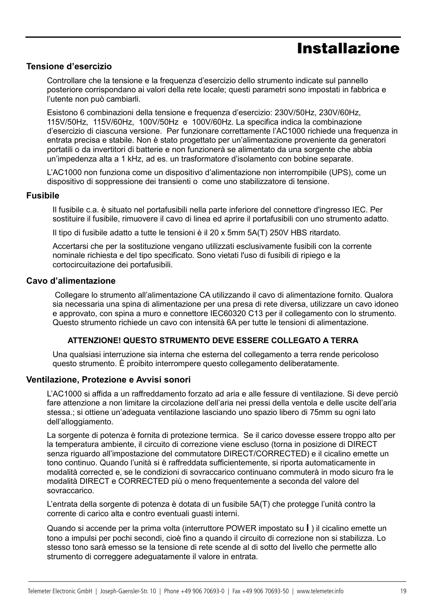# Installazione

## **Tensione d'esercizio**

Controllare che la tensione e la frequenza d'esercizio dello strumento indicate sul pannello posteriore corrispondano ai valori della rete locale; questi parametri sono impostati in fabbrica e l'utente non può cambiarli.

Esistono 6 combinazioni della tensione e frequenza d'esercizio: 230V/50Hz, 230V/60Hz, 115V/50Hz, 115V/60Hz, 100V/50Hz e 100V/60Hz. La specifica indica la combinazione d'esercizio di ciascuna versione. Per funzionare correttamente l'AC1000 richiede una frequenza in entrata precisa e stabile. Non è stato progettato per un'alimentazione proveniente da generatori portatili o da invertitori di batterie e non funzionerà se alimentato da una sorgente che abbia un'impedenza alta a 1 kHz, ad es. un trasformatore d'isolamento con bobine separate.

L'AC1000 non funziona come un dispositivo d'alimentazione non interrompibile (UPS), come un dispositivo di soppressione dei transienti o come uno stabilizzatore di tensione.

#### **Fusibile**

18

Il fusibile c.a. è situato nel portafusibili nella parte inferiore del connettore d'ingresso IEC. Per sostituire il fusibile, rimuovere il cavo di linea ed aprire il portafusibili con uno strumento adatto.

Il tipo di fusibile adatto a tutte le tensioni è il 20 x 5mm 5A(T) 250V HBS ritardato.

Accertarsi che per la sostituzione vengano utilizzati esclusivamente fusibili con la corrente nominale richiesta e del tipo specificato. Sono vietati l'uso di fusibili di ripiego e la cortocircuitazione dei portafusibili.

#### **Cavo d'alimentazione**

Collegare lo strumento all'alimentazione CA utilizzando il cavo di alimentazione fornito. Qualora sia necessaria una spina di alimentazione per una presa di rete diversa, utilizzare un cavo idoneo e approvato, con spina a muro e connettore IEC60320 C13 per il collegamento con lo strumento. Questo strumento richiede un cavo con intensità 6A per tutte le tensioni di alimentazione.

### **ATTENZIONE! QUESTO STRUMENTO DEVE ESSERE COLLEGATO A TERRA**

Una qualsiasi interruzione sia interna che esterna del collegamento a terra rende pericoloso questo strumento. È proibito interrompere questo collegamento deliberatamente.

#### **Ventilazione, Protezione e Avvisi sonori**

L'AC1000 si affida a un raffreddamento forzato ad aria e alle fessure di ventilazione. Si deve perciò fare attenzione a non limitare la circolazione dell'aria nei pressi della ventola e delle uscite dell'aria stessa.; si ottiene un'adeguata ventilazione lasciando uno spazio libero di 75mm su ogni lato dell'alloggiamento.

La sorgente di potenza è fornita di protezione termica. Se il carico dovesse essere troppo alto per la temperatura ambiente, il circuito di correzione viene escluso (torna in posizione di DIRECT senza riguardo all'impostazione del commutatore DIRECT/CORRECTED) e il cicalino emette un tono continuo. Quando l'unità si è raffreddata sufficientemente, si riporta automaticamente in modalità corrected e, se le condizioni di sovraccarico continuano commuterà in modo sicuro fra le modalità DIRECT e CORRECTED più o meno frequentemente a seconda del valore del sovraccarico.

L'entrata della sorgente di potenza è dotata di un fusibile 5A(T) che protegge l'unità contro la corrente di carico alta e contro eventuali guasti interni.

Quando si accende per la prima volta (interruttore POWER impostato su **l** ) il cicalino emette un tono a impulsi per pochi secondi, cioè fino a quando il circuito di correzione non si stabilizza. Lo stesso tono sarà emesso se la tensione di rete scende al di sotto del livello che permette allo strumento di correggere adeguatamente il valore in entrata.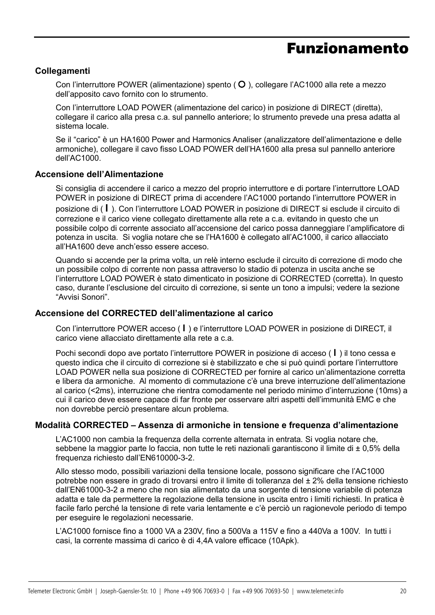## Funzionamento

## **Collegamenti**

Con l'interruttore POWER (alimentazione) spento  $\overline{O}$ ), collegare l'AC1000 alla rete a mezzo dell'apposito cavo fornito con lo strumento.

Con l'interruttore LOAD POWER (alimentazione del carico) in posizione di DIRECT (diretta), collegare il carico alla presa c.a. sul pannello anteriore; lo strumento prevede una presa adatta al sistema locale.

Se il "carico" è un HA1600 Power and Harmonics Analiser (analizzatore dell'alimentazione e delle armoniche), collegare il cavo fisso LOAD POWER dell'HA1600 alla presa sul pannello anteriore dell'AC1000.

#### **Accensione dell'Alimentazione**

Si consiglia di accendere il carico a mezzo del proprio interruttore e di portare l'interruttore LOAD POWER in posizione di DIRECT prima di accendere l'AC1000 portando l'interruttore POWER in posizione di ( **l** ). Con l'interruttore LOAD POWER in posizione di DIRECT si esclude il circuito di correzione e il carico viene collegato direttamente alla rete a c.a. evitando in questo che un possibile colpo di corrente associato all'accensione del carico possa danneggiare l'amplificatore di potenza in uscita. Si voglia notare che se l'HA1600 è collegato all'AC1000, il carico allacciato all'HA1600 deve anch'esso essere acceso.

Quando si accende per la prima volta, un relè interno esclude il circuito di correzione di modo che un possibile colpo di corrente non passa attraverso lo stadio di potenza in uscita anche se l'interruttore LOAD POWER è stato dimenticato in posizione di CORRECTED (corretta). In questo caso, durante l'esclusione del circuito di correzione, si sente un tono a impulsi; vedere la sezione "Avvisi Sonori".

### **Accensione del CORRECTED dell'alimentazione al carico**

Con l'interruttore POWER acceso ( **l** ) e l'interruttore LOAD POWER in posizione di DIRECT, il carico viene allacciato direttamente alla rete a c.a.

Pochi secondi dopo ave portato l'interruttore POWER in posizione di acceso ( **l** ) il tono cessa e questo indica che il circuito di correzione si è stabilizzato e che si può quindi portare l'interruttore LOAD POWER nella sua posizione di CORRECTED per fornire al carico un'alimentazione corretta e libera da armoniche. Al momento di commutazione c'è una breve interruzione dell'alimentazione al carico (<2ms), interruzione che rientra comodamente nel periodo minimo d'interruzione (10ms) a cui il carico deve essere capace di far fronte per osservare altri aspetti dell'immunità EMC e che non dovrebbe perciò presentare alcun problema.

### **Modalità CORRECTED – Assenza di armoniche in tensione e frequenza d'alimentazione**

L'AC1000 non cambia la frequenza della corrente alternata in entrata. Si voglia notare che, sebbene la maggior parte lo faccia, non tutte le reti nazionali garantiscono il limite di ± 0,5% della frequenza richiesto dall'EN610000-3-2.

Allo stesso modo, possibili variazioni della tensione locale, possono significare che l'AC1000 potrebbe non essere in grado di trovarsi entro il limite di tolleranza del ± 2% della tensione richiesto dall'EN61000-3-2 a meno che non sia alimentato da una sorgente di tensione variabile di potenza adatta e tale da permettere la regolazione della tensione in uscita entro i limiti richiesti. In pratica è facile farlo perché la tensione di rete varia lentamente e c'è perciò un ragionevole periodo di tempo per eseguire le regolazioni necessarie.

L'AC1000 fornisce fino a 1000 VA a 230V, fino a 500Va a 115V e fino a 440Va a 100V. In tutti i casi, la corrente massima di carico è di 4,4A valore efficace (10Apk).

19<br>19<br>19 Martin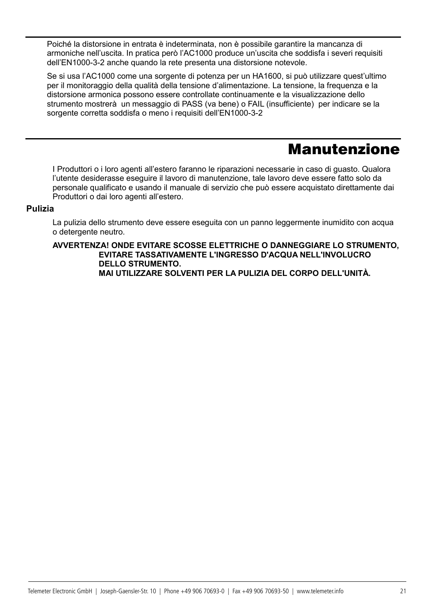Poiché la distorsione in entrata è indeterminata, non è possibile garantire la mancanza di armoniche nell'uscita. In pratica però l'AC1000 produce un'uscita che soddisfa i severi requisiti dell'EN1000-3-2 anche quando la rete presenta una distorsione notevole.

Se si usa l'AC1000 come una sorgente di potenza per un HA1600, si può utilizzare quest'ultimo per il monitoraggio della qualità della tensione d'alimentazione. La tensione, la frequenza e la distorsione armonica possono essere controllate continuamente e la visualizzazione dello strumento mostrerà un messaggio di PASS (va bene) o FAIL (insufficiente) per indicare se la sorgente corretta soddisfa o meno i requisiti dell'EN1000-3-2

## Manutenzione

I Produttori o i loro agenti all'estero faranno le riparazioni necessarie in caso di guasto. Qualora l'utente desiderasse eseguire il lavoro di manutenzione, tale lavoro deve essere fatto solo da personale qualificato e usando il manuale di servizio che può essere acquistato direttamente dai Produttori o dai loro agenti all'estero.

## **Pulizia**

20

La pulizia dello strumento deve essere eseguita con un panno leggermente inumidito con acqua o detergente neutro.

**AVVERTENZA! ONDE EVITARE SCOSSE ELETTRICHE O DANNEGGIARE LO STRUMENTO, EVITARE TASSATIVAMENTE L'INGRESSO D'ACQUA NELL'INVOLUCRO DELLO STRUMENTO. MAI UTILIZZARE SOLVENTI PER LA PULIZIA DEL CORPO DELL'UNITÀ.**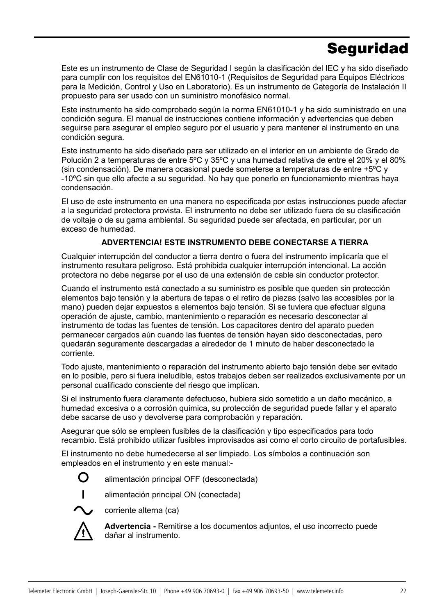# **Seguridad**

Este es un instrumento de Clase de Seguridad I según la clasificación del IEC y ha sido diseñado para cumplir con los requisitos del EN61010-1 (Requisitos de Seguridad para Equipos Eléctricos para la Medición, Control y Uso en Laboratorio). Es un instrumento de Categoría de Instalación II propuesto para ser usado con un suministro monofásico normal.

Este instrumento ha sido comprobado según la norma EN61010-1 y ha sido suministrado en una condición segura. El manual de instrucciones contiene información y advertencias que deben seguirse para asegurar el empleo seguro por el usuario y para mantener al instrumento en una condición segura.

Este instrumento ha sido diseñado para ser utilizado en el interior en un ambiente de Grado de Polución 2 a temperaturas de entre 5ºC y 35ºC y una humedad relativa de entre el 20% y el 80% (sin condensación). De manera ocasional puede someterse a temperaturas de entre +5ºC y -10ºC sin que ello afecte a su seguridad. No hay que ponerlo en funcionamiento mientras haya condensación.

El uso de este instrumento en una manera no especificada por estas instrucciones puede afectar a la seguridad protectora provista. El instrumento no debe ser utilizado fuera de su clasificación de voltaje o de su gama ambiental. Su seguridad puede ser afectada, en particular, por un exceso de humedad.

## **ADVERTENCIA! ESTE INSTRUMENTO DEBE CONECTARSE A TIERRA**

Cualquier interrupción del conductor a tierra dentro o fuera del instrumento implicaría que el instrumento resultara peligroso. Está prohibida cualquier interrupción intencional. La acción protectora no debe negarse por el uso de una extensión de cable sin conductor protector.

Cuando el instrumento está conectado a su suministro es posible que queden sin protección elementos bajo tensión y la abertura de tapas o el retiro de piezas (salvo las accesibles por la mano) pueden dejar expuestos a elementos bajo tensión. Si se tuviera que efectuar alguna operación de ajuste, cambio, mantenimiento o reparación es necesario desconectar al instrumento de todas las fuentes de tensión. Los capacitores dentro del aparato pueden permanecer cargados aún cuando las fuentes de tensión hayan sido desconectadas, pero quedarán seguramente descargadas a alrededor de 1 minuto de haber desconectado la corriente.

Todo ajuste, mantenimiento o reparación del instrumento abierto bajo tensión debe ser evitado en lo posible, pero si fuera ineludible, estos trabajos deben ser realizados exclusivamente por un personal cualificado consciente del riesgo que implican.

Si el instrumento fuera claramente defectuoso, hubiera sido sometido a un daño mecánico, a humedad excesiva o a corrosión química, su protección de seguridad puede fallar y el aparato debe sacarse de uso y devolverse para comprobación y reparación.

Asegurar que sólo se empleen fusibles de la clasificación y tipo especificados para todo recambio. Está prohibido utilizar fusibles improvisados así como el corto circuito de portafusibles.

El instrumento no debe humedecerse al ser limpiado. Los símbolos a continuación son empleados en el instrumento y en este manual:-



alimentación principal OFF (desconectada)



**l** alimentación principal ON (conectada)



corriente alterna (ca)



**Advertencia -** Remitirse a los documentos adjuntos, el uso incorrecto puede dañar al instrumento.

21<br>21<br>21 - Paul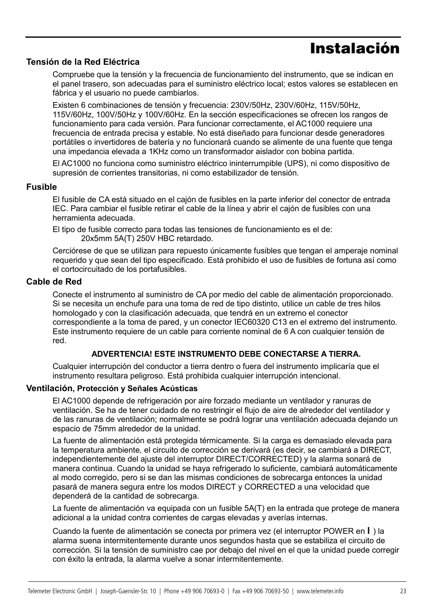# Instalación

## **Tensión de la Red Eléctrica**

Compruebe que la tensión y la frecuencia de funcionamiento del instrumento, que se indican en el panel trasero, son adecuadas para el suministro eléctrico local; estos valores se establecen en fábrica y el usuario no puede cambiarlos.

Existen 6 combinaciones de tensión y frecuencia: 230V/50Hz, 230V/60Hz, 115V/50Hz, 115V/60Hz, 100V/50Hz y 100V/60Hz. En la sección especificaciones se ofrecen los rangos de funcionamiento para cada versión. Para funcionar correctamente, el AC1000 requiere una frecuencia de entrada precisa y estable. No está diseñado para funcionar desde generadores portátiles o invertidores de batería y no funcionará cuando se alimente de una fuente que tenga una impedancia elevada a 1KHz como un transformador aislador con bobina partida.

El AC1000 no funciona como suministro eléctrico ininterrumpible (UPS), ni como dispositivo de supresión de corrientes transitorias, ni como estabilizador de tensión.

## **Fusible**

El fusible de CA está situado en el cajón de fusibles en la parte inferior del conector de entrada IEC. Para cambiar el fusible retirar el cable de la línea y abrir el cajón de fusibles con una herramienta adecuada.

El tipo de fusible correcto para todas las tensiones de funcionamiento es el de: 20x5mm 5A(T) 250V HBC retardado.

Cerciórese de que se utilizan para repuesto únicamente fusibles que tengan el amperaje nominal requerido y que sean del tipo especificado. Está prohibido el uso de fusibles de fortuna así como el cortocircuitado de los portafusibles.

## **Cable de Red**

22

Conecte el instrumento al suministro de CA por medio del cable de alimentación proporcionado. Si se necesita un enchufe para una toma de red de tipo distinto, utilice un cable de tres hilos homologado y con la clasificación adecuada, que tendrá en un extremo el conector correspondiente a la toma de pared, y un conector IEC60320 C13 en el extremo del instrumento. Este instrumento requiere de un cable para corriente nominal de 6 A con cualquier tensión de red.

### **ADVERTENCIA! ESTE INSTRUMENTO DEBE CONECTARSE A TIERRA.**

Cualquier interrupción del conductor a tierra dentro o fuera del instrumento implicaría que el instrumento resultara peligroso. Está prohibida cualquier interrupción intencional.

### **Ventilación, Protección y Señales Acústicas**

El AC1000 depende de refrigeración por aire forzado mediante un ventilador y ranuras de ventilación. Se ha de tener cuidado de no restringir el flujo de aire de alrededor del ventilador y de las ranuras de ventilación; normalmente se podrá lograr una ventilación adecuada dejando un espacio de 75mm alrededor de la unidad.

La fuente de alimentación está protegida térmicamente. Si la carga es demasiado elevada para la temperatura ambiente, el circuito de corrección se derivará (es decir, se cambiará a DIRECT, independientemente del ajuste del interruptor DIRECT/CORRECTED) y la alarma sonará de manera continua. Cuando la unidad se haya refrigerado lo suficiente, cambiará automáticamente al modo corregido, pero si se dan las mismas condiciones de sobrecarga entonces la unidad pasará de manera segura entre los modos DIRECT y CORRECTED a una velocidad que dependerá de la cantidad de sobrecarga.

La fuente de alimentación va equipada con un fusible 5A(T) en la entrada que protege de manera adicional a la unidad contra corrientes de cargas elevadas y averías internas.

Cuando la fuente de alimentación se conecta por primera vez (el interruptor POWER en **l** ) la alarma suena intermitentemente durante unos segundos hasta que se estabiliza el circuito de corrección. Si la tensión de suministro cae por debajo del nivel en el que la unidad puede corregir con éxito la entrada, la alarma vuelve a sonar intermitentemente.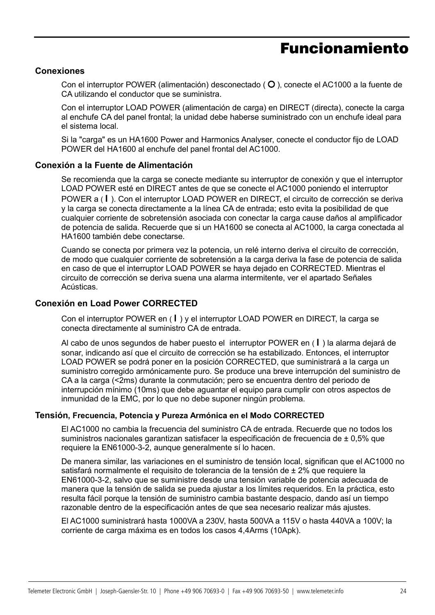## Funcionamiento

### **Conexiones**

Con el interruptor POWER (alimentación) desconectado ( $\circ$ ), conecte el AC1000 a la fuente de CA utilizando el conductor que se suministra.

Con el interruptor LOAD POWER (alimentación de carga) en DIRECT (directa), conecte la carga al enchufe CA del panel frontal; la unidad debe haberse suministrado con un enchufe ideal para el sistema local.

Si la "carga" es un HA1600 Power and Harmonics Analyser, conecte el conductor fijo de LOAD POWER del HA1600 al enchufe del panel frontal del AC1000.

#### **Conexión a la Fuente de Alimentación**

Se recomienda que la carga se conecte mediante su interruptor de conexión y que el interruptor LOAD POWER esté en DIRECT antes de que se conecte el AC1000 poniendo el interruptor POWER a ( **l** ). Con el interruptor LOAD POWER en DIRECT, el circuito de corrección se deriva y la carga se conecta directamente a la línea CA de entrada; esto evita la posibilidad de que cualquier corriente de sobretensión asociada con conectar la carga cause daños al amplificador de potencia de salida. Recuerde que si un HA1600 se conecta al AC1000, la carga conectada al HA1600 también debe conectarse.

Cuando se conecta por primera vez la potencia, un relé interno deriva el circuito de corrección, de modo que cualquier corriente de sobretensión a la carga deriva la fase de potencia de salida en caso de que el interruptor LOAD POWER se haya dejado en CORRECTED. Mientras el circuito de corrección se deriva suena una alarma intermitente, ver el apartado Señales Acústicas.

### **Conexión en Load Power CORRECTED**

Con el interruptor POWER en ( **l** ) y el interruptor LOAD POWER en DIRECT, la carga se conecta directamente al suministro CA de entrada.

Al cabo de unos segundos de haber puesto el interruptor POWER en ( **l** ) la alarma dejará de sonar, indicando así que el circuito de corrección se ha estabilizado. Entonces, el interruptor LOAD POWER se podrá poner en la posición CORRECTED, que suministrará a la carga un suministro corregido armónicamente puro. Se produce una breve interrupción del suministro de CA a la carga (<2ms) durante la conmutación; pero se encuentra dentro del periodo de interrupción mínimo (10ms) que debe aguantar el equipo para cumplir con otros aspectos de inmunidad de la EMC, por lo que no debe suponer ningún problema.

#### **Tensión, Frecuencia, Potencia y Pureza Armónica en el Modo CORRECTED**

El AC1000 no cambia la frecuencia del suministro CA de entrada. Recuerde que no todos los suministros nacionales garantizan satisfacer la especificación de frecuencia de ± 0.5% que requiere la EN61000-3-2, aunque generalmente sí lo hacen.

De manera similar, las variaciones en el suministro de tensión local, significan que el AC1000 no satisfará normalmente el requisito de tolerancia de la tensión de ± 2% que requiere la EN61000-3-2, salvo que se suministre desde una tensión variable de potencia adecuada de manera que la tensión de salida se pueda ajustar a los límites requeridos. En la práctica, esto resulta fácil porque la tensión de suministro cambia bastante despacio, dando así un tiempo razonable dentro de la especificación antes de que sea necesario realizar más ajustes.

El AC1000 suministrará hasta 1000VA a 230V, hasta 500VA a 115V o hasta 440VA a 100V; la corriente de carga máxima es en todos los casos 4,4Arms (10Apk).